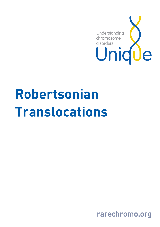

# Robertsonian Translocations

rarechromo.org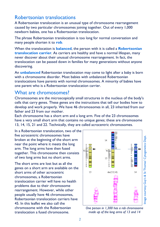# Robertsonian translocations

A Robertsonian translocation is an unusual type of chromosome rearrangement caused by two particular chromosomes joining together. Out of every 1,000 newborn babies, one has a Robertsonian translocation.

The phrase Robertsonian translocation is too long for normal conversation and many people shorten it to rob.

When the translocation is **balanced**, the person with it is called a **Robertsonian** translocation carrier. As carriers are healthy and have a normal lifespan, many never discover about their unusual chromosome rearrangement. In fact, the translocation can be passed down in families for many generations without anyone discovering.

An **unbalanced** Robertsonian translocation may come to light after a baby is born with a chromosome disorder. Most babies with unbalanced Robertsonian translocations have parents with normal chromosomes. A minority of babies have one parent who is a Robertsonian translocation carrier.

## What are chromosomes?

Chromosomes are the microscopically small structures in the nucleus of the body's cells that carry genes. These genes are the instructions that tell our bodies how to develop and work properly. We have 46 chromosomes in all, 23 inherited from our father and 23 from our mother.

Each chromosome has a short arm and a long arm. Five of the 23 chromosomes have a very small short arm that contains no unique genes; these are chromosome 13, 14, 15, 21 and 22. Technically, they are called acrocentric chromosomes.

In a Robertsonian translocation, two of the five acrocentric chromosomes have broken at the beginning of the short arm near the point where it meets the long arm. The long arms have then fused together. This chromosome then consists of two long arms but no short arms.

The short arms are lost but as all the genes on a short arm are available on the short arms of other acrocentric chromosomes, a Robertsonian translocation carrier will have no health problems due to their chromosome rearrangement. However, while other people usually have 46 chromosomes, Robertsonian translocation carriers have 45. In this leaflet we also call the chromosome with the Robertsonian translocation a fused chromosome.



One person in 1,300 has a rob chromosome made up of the long arms of 13 and 14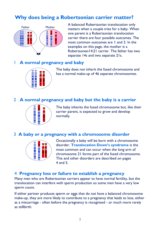# Why does being a Robertsonian carrier matter?



A balanced Robertsonian translocation only matters when a couple tries for a baby. When one parent is a Robertsonian translocation carrier there are four possible outcomes. The most common outcomes are 1 and 2. In the examples on this page, the mother is a Robertsonian14;21 carrier. The father has two separate 14s and two separate 21s.

## A normal pregnancy and baby



The baby does not inherit the fused chromosome and has a normal make-up of 46 separate chromosomes.

## 2 A normal pregnancy and baby but the baby is a carrier



The baby inherits the fused chromosome but, like their carrier parent, is expected to grow and develop normally.

#### 3 A baby or a pregnancy with a chromosome disorder



Occasionally a baby will be born with a chromosome disorder. Translocation Down's syndrome is the most common and can occur when the long arm of chromosome 21 forms part of the fused chromosome. This and other disorders are described on pages 4 and 5.

#### 4 Pregnancy loss or failure to establish a pregnancy

Many men who are Robertsonian carriers appear to have normal fertility, but the translocation can interfere with sperm production so some men have a very low sperm count.

If either partner produces sperm or eggs that do not have a balanced chromosome make-up, they are more likely to contribute to a pregnancy that leads to loss, either as a miscarriage - often before the pregnancy is recognised - or much more rarely as stillbirth.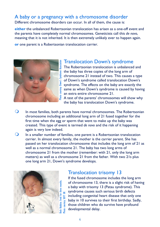# A baby or a pregnancy with a chromosome disorder

Different chromosome disorders can occur. In all of them, the cause is:

either the unbalanced Robertsonian translocation has arisen as a one-off event and the parents have completely normal chromosomes. Geneticists call this de novo, meaning that it is not inherited. It is then extremely unlikely ever to happen again.

or one parent is a Robertsonian translocation carrier.



# Translocation Down's syndrome

The Robertsonian translocation is unbalanced and the baby has three copies of the long arm of chromosome 21 instead of two. This causes a type of Down's syndrome called translocation Down's syndrome. The effects on the baby are exactly the same as when Down's syndrome is caused by having an extra entire chromosome 21.

A test of the parents' chromosomes will show why the baby has translocation Down's syndrome.

- $\bigcirc$  In most families, both parents have normal chromosomes. The Robertsonian chromosome including an additional long arm of 21 fused together for the first time when the egg or sperm that went to make up the baby was created. This type of event is termed de novo and the risk of it happening again is very low indeed.
- $\bigcirc$  In a smaller number of families, one parent is a Robertsonian translocation carrier. In almost every family, the mother is the carrier parent. She has passed on her translocation chromosome that includes the long arm of 21 as well as a normal chromosome 21. The baby has two long arms of chromosome 21 from the mother (remember: with 21, only the long arm matters) as well as a chromosome 21 from the father. With two 21s plus one long arm 21, Down's syndrome develops.



# Translocation trisomy 13

If the fused chromosome includes the long arm of chromosome 13, there is a slight risk of having a baby with trisomy 13 (Patau syndrome). This syndrome causes such serious birth defects including congenital heart disease that only one baby in 10 survives to their first birthday. Sadly, those children who do survive have profound developmental delay.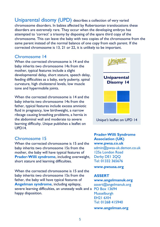Uniparental disomy (UPD) describes a collection of very varied chromosome disorders. In babies affected by Robertsonian translocations these disorders are extremely rare. They occur when the developing embryo has attempted to 'correct' a trisomy by disposing of the spare third copy of the chromosome. This can leave the baby with two copies of the chromosome from the same parent instead of the normal balance of one copy from each parent. If the corrected chromosome is 13, 21 or 22, it is unlikely to be important.

#### Chromosome 14

When the corrected chromosome is 14 and the baby inherits two chromosome 14s from the mother, typical features include a slight developmental delay, short stature, speech delay, feeding difficulties as a baby, early puberty, spinal curvature, high cholesterol levels, low muscle tone and hypermobile joints.

When the corrected chromosome is 14 and the baby inherits two chromosome 14s from the father, typical features include excess amniotic fluid in pregnancy, low birthweight, a narrow ribcage causing breathing problems, a hernia in the abdominal wall and moderate to severe learning difficulty. Unique publishes a leaflet on UPD14.

## Chromosome 15

When the corrected chromosome is 15 and the baby inherits two chromosome 15s from the mother, the baby will have typical features of Prader-Willi syndrome, including overweight, short stature and learning difficulties.

When the corrected chromosome is 15 and the baby inherits two chromosome 15s from the father, the baby will have typical features of Angelman syndrome, including epilepsy, severe learning difficulties, an unsteady walk and a PO Box 13694 happy disposition.



#### Prader-Willi Syndrome Association (UK) www.pwsa.co.uk admin@pwsa-uk.demon.co.uk 125a London Road Derby DE1 2QQ Tel: 01332 365676

www.pwsusa.org

#### ASSERT

## www.angelmanuk.org

assert@angelmanuk.org Musselburgh EH21 6XH Tel: 01268 415940

www.angelman.org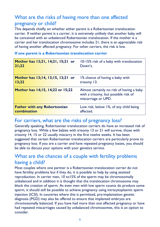# What are the risks of having more than one affected pregnancy or child?

This depends chiefly on whether either parent is a Robertsonian translocation carrier. If neither parent is a carrier, it is extremely unlikely that another baby will be conceived with an unbalanced Robertsonian translocation. If the mother is a carrier and her translocation chromosome includes 21, there is an appreciable risk of having another affected pregnancy. For other carriers, the risk is low.

#### Mother has 13;21, 14;21, 15;21 or 21;22 10-15% risk of a baby with translocation Down's. Mother has 13;14, 13;15, 13;21 or 13;22 1% chance of having a baby with trisomy 13. Mother has 14;15, 14;22 or 15;22 Almost certainly no risk of having a baby with a trisomy, but possible risk of miscarriage or UPD. Father with any Robertsonian combination Low risk, below 1%, of any child being affected.

#### If one parent is a Robertsonian translocation carrier

# For carriers, what are the risks of pregnancy loss?

Generally speaking, Robertsonian translocation carriers do have an increased risk of pregnancy loss. While a few babies with trisomy 13 or 21 will survive, those with trisomy 14, 15 or 22 usually miscarry in the first twelve weeks. It has been suggested that certain Robertsonian translocation carriers are particularly prone to pregnancy loss. If you are a carrier and have repeated pregnancy losses, you should be able to discuss your options with your genetics service.

# What are the chances of a couple with fertility problems having a child?

Most couples where one partner is a Robertsonian translocation carrier do not have fertility problems but if they do, it is possible to help by using assisted reproduction. In carrier men, 10 to15% of the sperm may be chromosomally unbalanced and in addition it is thought that the translocation chromosome may block the creation of sperm. As even men with low sperm counts do produce some sperm, it should still be possible to achieve pregnancy using intracytoplasmic sperm injection (ICSI). In countries where this is permitted, pre-implantation genetic diagnosis (PGD) may also be offered to ensure that implanted embryos are chromosomally balanced. If you have had more than one affected pregnancy or have had repeated miscarriages caused by unbalanced chromosomes, this is an option to consider.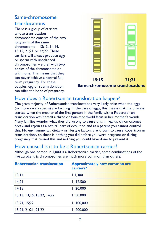# Same-chromosome translocations

There is a group of carriers whose translocation chromosome consists of the two long arms of the same chromosome – 13;13, 14;14, 15;15, 21;21 or 22;22. These carriers will always produce eggs or sperm with unbalanced chromosomes – either with two copies of the chromosome or with none. This means that they can never achieve a normal fullterm pregnancy. For these couples, egg or sperm donation can offer the hope of pregnancy.



 15;15 21;21 Same-chromosome translocations

# How does a Robertsonian translocation happen?

The great majority of Robertsonian translocations very likely arise when the eggs (or more rarely sperm) are forming. In the case of eggs, this means that the process started when the mother of the first person in the family with a Robertsonian translocation was herself a three or four-month-old fetus in her mother's womb. Many families wonder what they did wrong to cause this. In reality, chromosomes break and rejoin as a natural part of evolution and as a parent you cannot control this. No environmental, dietary or lifestyle factors are known to cause Robertsonian translocations, so there is nothing you did before you were pregnant or during pregnancy that caused this and nothing you could have done to prevent it.

# How unusual is it to be a Robertsonian carrier?

| <b>Robertsonian translocation</b> | <b>Approximately how common are</b><br>carriers? |
|-----------------------------------|--------------------------------------------------|
| 13;14                             | 1:1,300                                          |
| 14;21                             | 1:12,500                                         |
| 14;15                             | 1:20,000                                         |
| 13;13, 13;15, 13;22, 14;22        | 1:50,000                                         |
| 13;21, 15;22                      | 1:100,000                                        |
| 15;21, 21;21, 21;22               | 1:200,000                                        |

Although one person in 1,000 is a Robertsonian carrier, some combinations of the five acrocentric chromosomes are much more common than others.